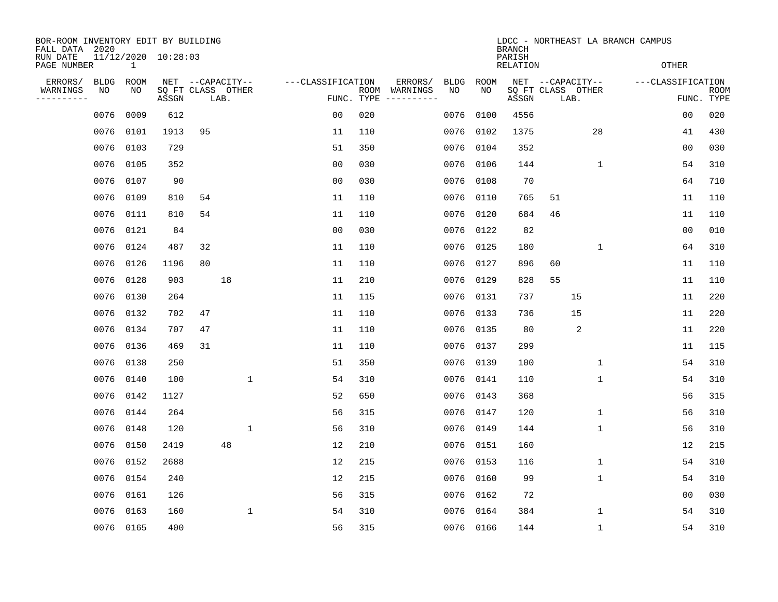| BOR-ROOM INVENTORY EDIT BY BUILDING<br>FALL DATA 2020<br>RUN DATE |                   |             | 11/12/2020 10:28:03 |                                               |                   | LDCC - NORTHEAST LA BRANCH CAMPUS<br><b>BRANCH</b><br>PARISH |                                          |             |                 |                                               |                   |                           |  |
|-------------------------------------------------------------------|-------------------|-------------|---------------------|-----------------------------------------------|-------------------|--------------------------------------------------------------|------------------------------------------|-------------|-----------------|-----------------------------------------------|-------------------|---------------------------|--|
| PAGE NUMBER                                                       |                   | $\mathbf 1$ |                     |                                               |                   |                                                              |                                          |             | <b>RELATION</b> |                                               | <b>OTHER</b>      |                           |  |
| ERRORS/<br>WARNINGS<br>---------                                  | <b>BLDG</b><br>NO | ROOM<br>NO  | ASSGN               | NET --CAPACITY--<br>SQ FT CLASS OTHER<br>LAB. | ---CLASSIFICATION | ROOM<br>FUNC. TYPE                                           | ERRORS/<br><b>BLDG</b><br>WARNINGS<br>NO | ROOM<br>NO. | ASSGN           | NET --CAPACITY--<br>SQ FT CLASS OTHER<br>LAB. | ---CLASSIFICATION | <b>ROOM</b><br>FUNC. TYPE |  |
|                                                                   | 0076              | 0009        | 612                 |                                               | 0 <sub>0</sub>    | 020                                                          | 0076                                     | 0100        | 4556            |                                               | 00                | 020                       |  |
|                                                                   | 0076              | 0101        | 1913                | 95                                            | 11                | 110                                                          | 0076                                     | 0102        | 1375            | 28                                            | 41                | 430                       |  |
|                                                                   | 0076              | 0103        | 729                 |                                               | 51                | 350                                                          | 0076                                     | 0104        | 352             |                                               | 00                | 030                       |  |
|                                                                   | 0076              | 0105        | 352                 |                                               | 0 <sub>0</sub>    | 030                                                          | 0076                                     | 0106        | 144             | $\mathbf{1}$                                  | 54                | 310                       |  |
|                                                                   | 0076              | 0107        | 90                  |                                               | 0 <sub>0</sub>    | 030                                                          | 0076                                     | 0108        | 70              |                                               | 64                | 710                       |  |
|                                                                   | 0076              | 0109        | 810                 | 54                                            | 11                | 110                                                          | 0076                                     | 0110        | 765             | 51                                            | 11                | 110                       |  |
|                                                                   | 0076              | 0111        | 810                 | 54                                            | 11                | 110                                                          | 0076                                     | 0120        | 684             | 46                                            | 11                | 110                       |  |
|                                                                   | 0076              | 0121        | 84                  |                                               | 0 <sub>0</sub>    | 030                                                          | 0076                                     | 0122        | 82              |                                               | 0 <sub>0</sub>    | 010                       |  |
|                                                                   | 0076              | 0124        | 487                 | 32                                            | 11                | 110                                                          | 0076                                     | 0125        | 180             | $\mathbf 1$                                   | 64                | 310                       |  |
|                                                                   | 0076              | 0126        | 1196                | 80                                            | 11                | 110                                                          | 0076                                     | 0127        | 896             | 60                                            | 11                | 110                       |  |
|                                                                   | 0076              | 0128        | 903                 | 18                                            | 11                | 210                                                          | 0076                                     | 0129        | 828             | 55                                            | 11                | 110                       |  |
|                                                                   | 0076              | 0130        | 264                 |                                               | 11                | 115                                                          | 0076                                     | 0131        | 737             | 15                                            | 11                | 220                       |  |
|                                                                   | 0076              | 0132        | 702                 | 47                                            | 11                | 110                                                          | 0076                                     | 0133        | 736             | 15                                            | 11                | 220                       |  |
|                                                                   | 0076              | 0134        | 707                 | 47                                            | 11                | 110                                                          | 0076                                     | 0135        | 80              | 2                                             | 11                | 220                       |  |
|                                                                   | 0076              | 0136        | 469                 | 31                                            | 11                | 110                                                          | 0076                                     | 0137        | 299             |                                               | 11                | 115                       |  |
|                                                                   | 0076              | 0138        | 250                 |                                               | 51                | 350                                                          | 0076                                     | 0139        | 100             | 1                                             | 54                | 310                       |  |
|                                                                   | 0076              | 0140        | 100                 | $\mathbf{1}$                                  | 54                | 310                                                          | 0076                                     | 0141        | 110             | 1                                             | 54                | 310                       |  |
|                                                                   | 0076              | 0142        | 1127                |                                               | 52                | 650                                                          | 0076                                     | 0143        | 368             |                                               | 56                | 315                       |  |
|                                                                   | 0076              | 0144        | 264                 |                                               | 56                | 315                                                          | 0076                                     | 0147        | 120             | 1                                             | 56                | 310                       |  |
|                                                                   | 0076              | 0148        | 120                 | $\mathbf{1}$                                  | 56                | 310                                                          | 0076                                     | 0149        | 144             | $\mathbf 1$                                   | 56                | 310                       |  |
|                                                                   | 0076              | 0150        | 2419                | 48                                            | 12                | 210                                                          | 0076                                     | 0151        | 160             |                                               | 12                | 215                       |  |
|                                                                   | 0076              | 0152        | 2688                |                                               | 12                | 215                                                          | 0076                                     | 0153        | 116             | $\mathbf 1$                                   | 54                | 310                       |  |
|                                                                   | 0076              | 0154        | 240                 |                                               | 12                | 215                                                          | 0076                                     | 0160        | 99              | $\mathbf 1$                                   | 54                | 310                       |  |
|                                                                   | 0076              | 0161        | 126                 |                                               | 56                | 315                                                          | 0076                                     | 0162        | 72              |                                               | 0 <sub>0</sub>    | 030                       |  |
|                                                                   | 0076              | 0163        | 160                 | 1                                             | 54                | 310                                                          | 0076                                     | 0164        | 384             | 1                                             | 54                | 310                       |  |
|                                                                   | 0076 0165         |             | 400                 |                                               | 56                | 315                                                          |                                          | 0076 0166   | 144             | $\mathbf 1$                                   | 54                | 310                       |  |